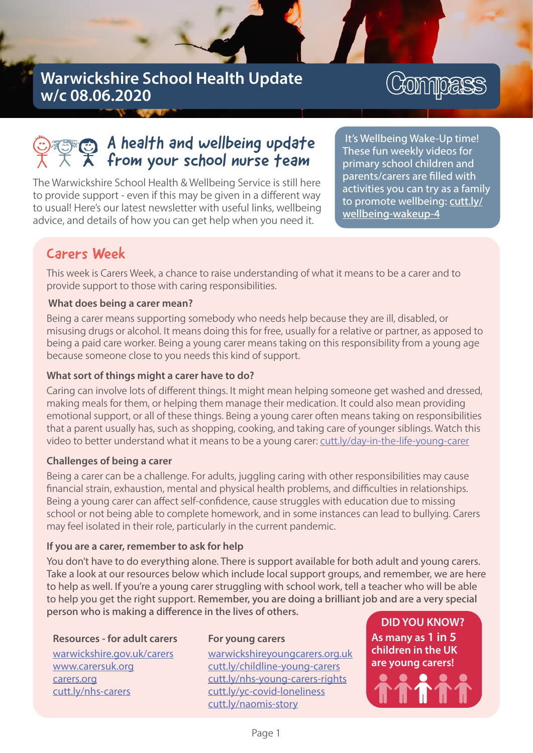## Warwickshire School Health Update w/c 08.06.2020

# Compass

## $\bigodot$  A health and wellbeing update from your school nurse team

The Warwickshire School Health & Wellbeing Service is still here to provide support - even if this may be given in a different way to usual! Here's our latest newsletter with useful links, wellbeing advice, and details of how you can get help when you need it.

It's Wellbeing Wake-Up time! These fun weekly videos for primary school children and parents/carers are filled with activities you can try as a family to promote wellbeing: cutt.ly/ wellbeing-wakeup-4

### Carers Week

This week is Carers Week, a chance to raise understanding of what it means to be a carer and to provide support to those with caring responsibilities.

#### What does being a carer mean?

Being a carer means supporting somebody who needs help because they are ill, disabled, or misusing drugs or alcohol. It means doing this for free, usually for a relative or partner, as apposed to being a paid care worker. Being a young carer means taking on this responsibility from a young age because someone close to you needs this kind of support.

#### What sort of things might a carer have to do?

Caring can involve lots of different things. It might mean helping someone get washed and dressed, making meals for them, or helping them manage their medication. It could also mean providing emotional support, or all of these things. Being a young carer often means taking on responsibilities that a parent usually has, such as shopping, cooking, and taking care of younger siblings. Watch this video to better understand what it means to be a young carer: cutt.ly/day-in-the-life-young-carer

#### Challenges of being a carer

Being a carer can be a challenge. For adults, juggling caring with other responsibilities may cause financial strain, exhaustion, mental and physical health problems, and difficulties in relationships. Being a young carer can affect self-confidence, cause struggles with education due to missing school or not being able to complete homework, and in some instances can lead to bullying. Carers may feel isolated in their role, particularly in the current pandemic.

#### If you are a carer, remember to ask for help

You don't have to do everything alone. There is support available for both adult and young carers. Take a look at our resources below which include local support groups, and remember, we are here to help as well. If you're a young carer struggling with school work, tell a teacher who will be able to help you get the right support. Remember, you are doing a brilliant job and are a very special person who is making a difference in the lives of others.

#### Resources - for adult carers

w a r wick shire.gov.uk/carers www.carersuk.org carers.org cutt.ly/nhs-carers

#### For young carers

w a r wickshire young care rs.org.uk cutt.ly/childline-young-carers cutt.ly/nhs-young-carers-rights cutt.ly/yc-covid-loneliness cutt.ly/naomis-story